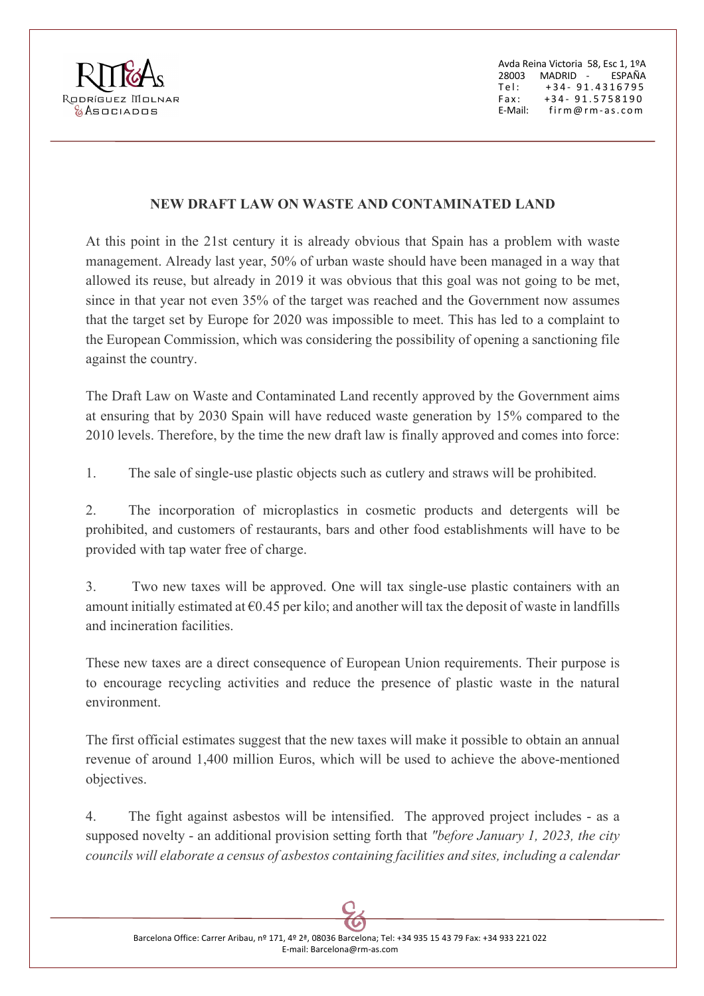

Avda Reina Victoria 58, Esc 1, 1ºA 28003 MADRID - ESPAÑA Tel: +34 - 91.4316795 Fax: +3 4 - 9 1 . 5758190 E-Mail: firm@rm- as.com

## **NEW DRAFT LAW ON WASTE AND CONTAMINATED LAND**

At this point in the 21st century it is already obvious that Spain has a problem with waste management. Already last year, 50% of urban waste should have been managed in a way that allowed its reuse, but already in 2019 it was obvious that this goal was not going to be met, since in that year not even 35% of the target was reached and the Government now assumes that the target set by Europe for 2020 was impossible to meet. This has led to a complaint to the European Commission, which was considering the possibility of opening a sanctioning file against the country.

The Draft Law on Waste and Contaminated Land recently approved by the Government aims at ensuring that by 2030 Spain will have reduced waste generation by 15% compared to the 2010 levels. Therefore, by the time the new draft law is finally approved and comes into force:

1. The sale of single-use plastic objects such as cutlery and straws will be prohibited.

2. The incorporation of microplastics in cosmetic products and detergents will be prohibited, and customers of restaurants, bars and other food establishments will have to be provided with tap water free of charge.

3. Two new taxes will be approved. One will tax single-use plastic containers with an amount initially estimated at  $\epsilon$ 0.45 per kilo; and another will tax the deposit of waste in landfills and incineration facilities.

These new taxes are a direct consequence of European Union requirements. Their purpose is to encourage recycling activities and reduce the presence of plastic waste in the natural environment.

The first official estimates suggest that the new taxes will make it possible to obtain an annual revenue of around 1,400 million Euros, which will be used to achieve the above-mentioned objectives.

4. The fight against asbestos will be intensified. The approved project includes - as a supposed novelty - an additional provision setting forth that *"before January 1, 2023, the city councils will elaborate a census of asbestos containing facilities and sites, including a calendar* 

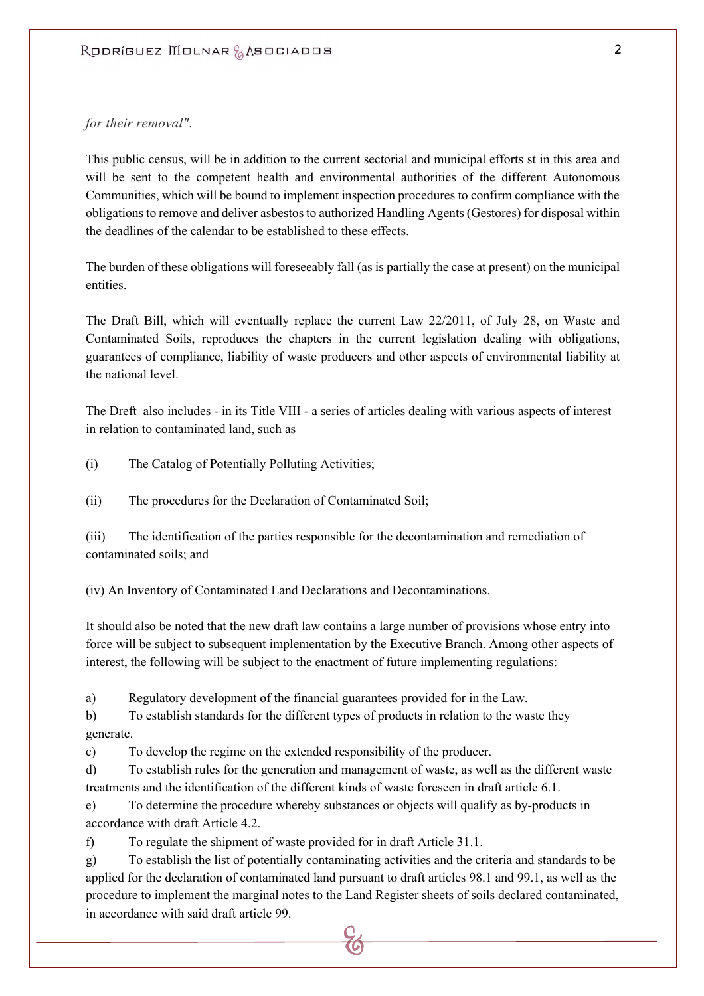## *for their removal"*.

This public census, will be in addition to the current sectorial and municipal efforts st in this area and will be sent to the competent health and environmental authorities of the different Autonomous Communities, which will be bound to implement inspection procedures to confirm compliance with the obligations to remove and deliver asbestos to authorized Handling Agents (Gestores) for disposal within the deadlines of the calendar to be established to these effects.

The burden of these obligations will foreseeably fall (as is partially the case at present) on the municipal entities.

The Draft Bill, which will eventually replace the current Law 22/2011, of July 28, on Waste and Contaminated Soils, reproduces the chapters in the current legislation dealing with obligations, guarantees of compliance, liability of waste producers and other aspects of environmental liability at the national level.

The Dreft also includes - in its Title VIII - a series of articles dealing with various aspects of interest in relation to contaminated land, such as

(i) The Catalog of Potentially Polluting Activities;

(ii) The procedures for the Declaration of Contaminated Soil;

(iii) The identification of the parties responsible for the decontamination and remediation of contaminated soils; and

(iv) An Inventory of Contaminated Land Declarations and Decontaminations.

It should also be noted that the new draft law contains a large number of provisions whose entry into force will be subject to subsequent implementation by the Executive Branch. Among other aspects of interest, the following will be subject to the enactment of future implementing regulations:

a) Regulatory development of the financial guarantees provided for in the Law.

b) To establish standards for the different types of products in relation to the waste they generate.

c) To develop the regime on the extended responsibility of the producer.

d) To establish rules for the generation and management of waste, as well as the different waste treatments and the identification of the different kinds of waste foreseen in draft article 6.1.

e) To determine the procedure whereby substances or objects will qualify as by-products in accordance with draft Article 4.2.

f) To regulate the shipment of waste provided for in draft Article 31.1.

g) To establish the list of potentially contaminating activities and the criteria and standards to be applied for the declaration of contaminated land pursuant to draft articles 98.1 and 99.1, as well as the procedure to implement the marginal notes to the Land Register sheets of soils declared contaminated, in accordance with said draft article 99.